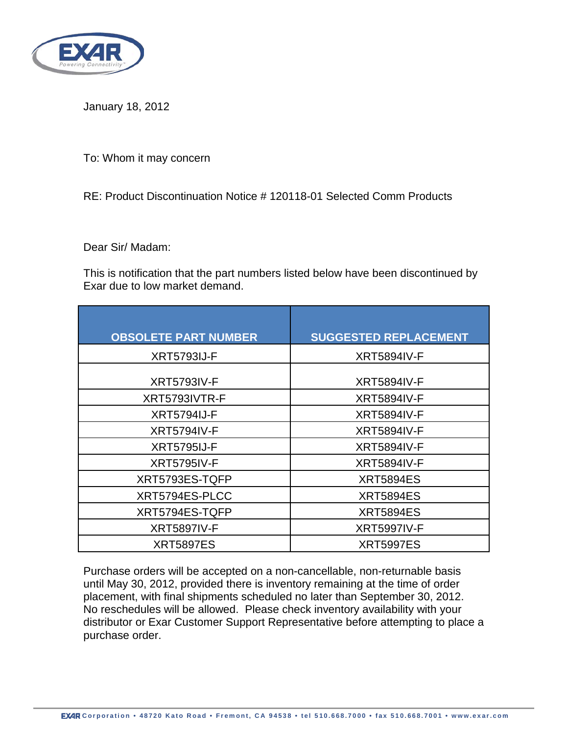

January 18, 2012

To: Whom it may concern

RE: Product Discontinuation Notice # 120118-01 Selected Comm Products

Dear Sir/ Madam:

This is notification that the part numbers listed below have been discontinued by Exar due to low market demand.

| <b>OBSOLETE PART NUMBER</b> | <b>SUGGESTED REPLACEMENT</b> |
|-----------------------------|------------------------------|
| <b>XRT5793IJ-F</b>          | <b>XRT5894IV-F</b>           |
| <b>XRT5793IV-F</b>          | <b>XRT5894IV-F</b>           |
| XRT5793IVTR-F               | <b>XRT5894IV-F</b>           |
| <b>XRT5794IJ-F</b>          | <b>XRT5894IV-F</b>           |
| <b>XRT5794IV-F</b>          | <b>XRT5894IV-F</b>           |
| <b>XRT5795IJ-F</b>          | <b>XRT5894IV-F</b>           |
| <b>XRT5795IV-F</b>          | <b>XRT5894IV-F</b>           |
| XRT5793ES-TQFP              | <b>XRT5894ES</b>             |
| XRT5794ES-PLCC              | <b>XRT5894ES</b>             |
| XRT5794ES-TQFP              | <b>XRT5894ES</b>             |
| <b>XRT5897IV-F</b>          | <b>XRT5997IV-F</b>           |
| <b>XRT5897ES</b>            | <b>XRT5997ES</b>             |

Purchase orders will be accepted on a non-cancellable, non-returnable basis until May 30, 2012, provided there is inventory remaining at the time of order placement, with final shipments scheduled no later than September 30, 2012. No reschedules will be allowed. Please check inventory availability with your distributor or Exar Customer Support Representative before attempting to place a purchase order.